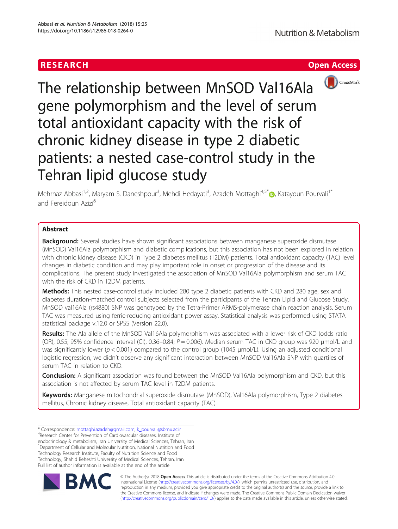



The relationship between MnSOD Val16Ala gene polymorphism and the level of serum total antioxidant capacity with the risk of chronic kidney disease in type 2 diabetic patients: a nested case-control study in the Tehran lipid glucose study

Mehrnaz Abbasi<sup>1,2</sup>, Maryam S. Daneshpour<sup>3</sup>, Mehdi Hedayati<sup>3</sup>, Azadeh Mottaghi<sup>4,5[\\*](http://orcid.org/0000-0002-1325-8946)</sup>®, Katayoun Pourvali<sup>1\*</sup> and Fereidoun Azizi<sup>6</sup>

# **Abstract**

**Background:** Several studies have shown significant associations between manganese superoxide dismutase (MnSOD) Val16Ala polymorphism and diabetic complications, but this association has not been explored in relation with chronic kidney disease (CKD) in Type 2 diabetes mellitus (T2DM) patients. Total antioxidant capacity (TAC) level changes in diabetic condition and may play important role in onset or progression of the disease and its complications. The present study investigated the association of MnSOD Val16Ala polymorphism and serum TAC with the risk of CKD in T2DM patients.

Methods: This nested case-control study included 280 type 2 diabetic patients with CKD and 280 age, sex and diabetes duration-matched control subjects selected from the participants of the Tehran Lipid and Glucose Study. MnSOD val16Ala (rs4880) SNP was genotyped by the Tetra-Primer ARMS-polymerase chain reaction analysis. Serum TAC was measured using ferric-reducing antioxidant power assay. Statistical analysis was performed using STATA statistical package v.12.0 or SPSS (Version 22.0).

Results: The Ala allele of the MnSOD Val16Ala polymorphism was associated with a lower risk of CKD (odds ratio (OR), 0.55; 95% confidence interval (CI), 0.36–0.84;  $P = 0.006$ ). Median serum TAC in CKD group was 920  $\mu$ mol/L and was significantly lower (p < 0.001) compared to the control group (1045 μmol/L). Using an adjusted conditional logistic regression, we didn't observe any significant interaction between MnSOD Val16Ala SNP with quartiles of serum TAC in relation to CKD.

Conclusion: A significant association was found between the MnSOD Val16Ala polymorphism and CKD, but this association is not affected by serum TAC level in T2DM patients.

Keywords: Manganese mitochondrial superoxide dismutase (MnSOD), Val16Ala polymorphism, Type 2 diabetes mellitus, Chronic kidney disease, Total antioxidant capacity (TAC)

\* Correspondence: [mottaghi.azadeh@gmail.com](mailto:mottaghi.azadeh@gmail.com); [k\\_pourvali@sbmu.ac.ir](mailto:k_pourvali@sbmu.ac.ir) <sup>4</sup> <sup>4</sup>Research Center for Prevention of Cardiovascular diseases, Institute of

endocrinology & metabolism, Iran University of Medical Sciences, Tehran, Iran <sup>1</sup>Department of Cellular and Molecular Nutrition, National Nutrition and Food Technology Research Institute, Faculty of Nutrition Science and Food Technology, Shahid Beheshti University of Medical Sciences, Tehran, Iran Full list of author information is available at the end of the article



© The Author(s). 2018 Open Access This article is distributed under the terms of the Creative Commons Attribution 4.0 International License [\(http://creativecommons.org/licenses/by/4.0/](http://creativecommons.org/licenses/by/4.0/)), which permits unrestricted use, distribution, and reproduction in any medium, provided you give appropriate credit to the original author(s) and the source, provide a link to the Creative Commons license, and indicate if changes were made. The Creative Commons Public Domain Dedication waiver [\(http://creativecommons.org/publicdomain/zero/1.0/](http://creativecommons.org/publicdomain/zero/1.0/)) applies to the data made available in this article, unless otherwise stated.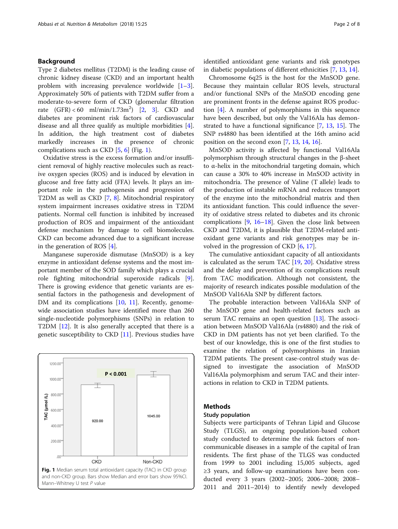# Background

Type 2 diabetes mellitus (T2DM) is the leading cause of chronic kidney disease (CKD) and an important health problem with increasing prevalence worldwide  $[1-3]$  $[1-3]$  $[1-3]$  $[1-3]$ . Approximately 50% of patients with T2DM suffer from a moderate-to-severe form of CKD (glomerular filtration rate  $(GFR) < 60 \text{ ml/min}/1.73 \text{ m}^2$  $(GFR) < 60 \text{ ml/min}/1.73 \text{ m}^2$  [2, [3](#page-6-0)]. CKD and diabetes are prominent risk factors of cardiovascular disease and all three qualify as multiple morbidities [\[4](#page-6-0)]. In addition, the high treatment cost of diabetes markedly increases in the presence of chronic complications such as CKD  $[5, 6]$  $[5, 6]$  $[5, 6]$  $[5, 6]$  (Fig. 1).

Oxidative stress is the excess formation and/or insufficient removal of highly reactive molecules such as reactive oxygen species (ROS) and is induced by elevation in glucose and free fatty acid (FFA) levels. It plays an important role in the pathogenesis and progression of T2DM as well as CKD [\[7](#page-6-0), [8](#page-6-0)]. Mitochondrial respiratory system impairment increases oxidative stress in T2DM patients. Normal cell function is inhibited by increased production of ROS and impairment of the antioxidant defense mechanism by damage to cell biomolecules. CKD can become advanced due to a significant increase in the generation of ROS [\[4](#page-6-0)].

Manganese superoxide dismutase (MnSOD) is a key enzyme in antioxidant defense systems and the most important member of the SOD family which plays a crucial role fighting mitochondrial superoxide radicals [\[9](#page-6-0)]. There is growing evidence that genetic variants are essential factors in the pathogenesis and development of DM and its complications [\[10](#page-6-0), [11\]](#page-6-0). Recently, genomewide association studies have identified more than 260 single-nucleotide polymorphisms (SNPs) in relation to T2DM [[12](#page-6-0)]. It is also generally accepted that there is a genetic susceptibility to CKD [[11\]](#page-6-0). Previous studies have



identified antioxidant gene variants and risk genotypes in diabetic populations of different ethnicities [\[7](#page-6-0), [13](#page-6-0), [14](#page-6-0)].

Chromosome 6q25 is the host for the MnSOD gene. Because they maintain cellular ROS levels, structural and/or functional SNPs of the MnSOD encoding gene are prominent fronts in the defense against ROS production [\[4](#page-6-0)]. A number of polymorphisms in this sequence have been described, but only the Val16Ala has demonstrated to have a functional significance [\[7](#page-6-0), [13,](#page-6-0) [15](#page-6-0)]. The SNP rs4880 has been identified at the 16th amino acid position on the second exon [\[7](#page-6-0), [13,](#page-6-0) [14,](#page-6-0) [16\]](#page-6-0).

MnSOD activity is affected by functional Val16Ala polymorphism through structural changes in the β-sheet to α-helix in the mitochondrial targeting domain, which can cause a 30% to 40% increase in MnSOD activity in mitochondria. The presence of Valine (T allele) leads to the production of instable mRNA and reduces transport of the enzyme into the mitochondrial matrix and then its antioxidant function. This could influence the severity of oxidative stress related to diabetes and its chronic complications [[9,](#page-6-0) [16](#page-6-0)–[18\]](#page-6-0). Given the close link between CKD and T2DM, it is plausible that T2DM-related antioxidant gene variants and risk genotypes may be involved in the progression of CKD [\[6](#page-6-0), [17](#page-6-0)].

The cumulative antioxidant capacity of all antioxidants is calculated as the serum TAC [\[19,](#page-6-0) [20](#page-6-0)]. Oxidative stress and the delay and prevention of its complications result from TAC modification. Although not consistent, the majority of research indicates possible modulation of the MnSOD Val16Ala SNP by different factors.

The probable interaction between Val16Ala SNP of the MnSOD gene and health-related factors such as serum TAC remains an open question [\[13](#page-6-0)]. The association between MnSOD Val16Ala (rs4880) and the risk of CKD in DM patients has not yet been clarified. To the best of our knowledge, this is one of the first studies to examine the relation of polymorphisms in Iranian T2DM patients. The present case-control study was designed to investigate the association of MnSOD Val16Ala polymorphism and serum TAC and their interactions in relation to CKD in T2DM patients.

# Methods

# Study population

Subjects were participants of Tehran Lipid and Glucose Study (TLGS), an ongoing population-based cohort study conducted to determine the risk factors of noncommunicable diseases in a sample of the capital of Iran residents. The first phase of the TLGS was conducted from 1999 to 2001 including 15,005 subjects, aged ≥3 years, and follow-up examinations have been conducted every 3 years (2002–2005; 2006–2008; 2008– 2011 and 2011–2014) to identify newly developed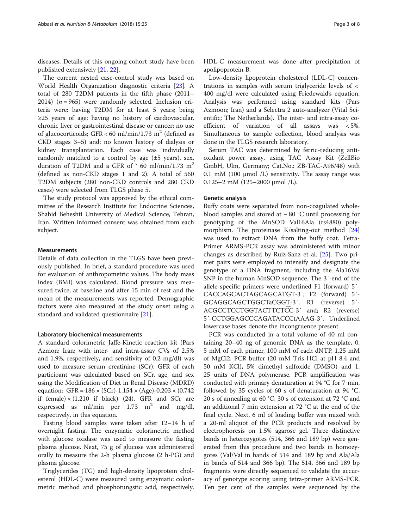diseases. Details of this ongoing cohort study have been published extensively [[21](#page-6-0), [22](#page-7-0)].

The current nested case-control study was based on World Health Organization diagnostic criteria [\[23](#page-7-0)]. A total of 280 T2DM patients in the fifth phase (2011– 2014) ( $n = 965$ ) were randomly selected. Inclusion criteria were: having T2DM for at least 5 years; being ≥25 years of age; having no history of cardiovascular, chronic liver or gastrointestinal disease or cancer; no use of glucocorticoids; GFR < 60 ml/min/1.73 m<sup>2</sup> (defined as CKD stages 3–5) and; no known history of dialysis or kidney transplantation. Each case was individually randomly matched to a control by age  $(\pm 5 \text{ years})$ , sex, duration of T2DM and a GFR of  $\degree$  60 ml/min/1.73 m<sup>2</sup> (defined as non-CKD stages 1 and 2). A total of 560 T2DM subjects (280 non-CKD controls and 280 CKD cases) were selected from TLGS phase 5.

The study protocol was approved by the ethical committee of the Research Institute for Endocrine Sciences, Shahid Beheshti University of Medical Science, Tehran, Iran. Written informed consent was obtained from each subject.

## Measurements

Details of data collection in the TLGS have been previously published. In brief, a standard procedure was used for evaluation of anthropometric values. The body mass index (BMI) was calculated. Blood pressure was measured twice, at baseline and after 15 min of rest and the mean of the measurements was reported. Demographic factors were also measured at the study onset using a standard and validated questionnaire [[21\]](#page-6-0).

## Laboratory biochemical measurements

A standard colorimetric Jaffe-Kinetic reaction kit (Pars Azmon; Iran; with inter- and intra-assay CVs of 2.5% and 1.9%, respectively, and sensitivity of 0.2 mg/dl) was used to measure serum creatinine (SCr). GFR of each participant was calculated based on SCr, age, and sex using the Modification of Diet in Renal Disease (MDRD) equation: GFR =  $186 \times (SCr) - 1.154 \times (Age) - 0.203 \times (0.742)$ if female)  $\times$  (1.210 if black) (24). GFR and SCr are expressed as ml/min per 1.73 m<sup>2</sup> and mg/dl, respectively, in this equation.

Fasting blood samples were taken after 12–14 h of overnight fasting. The enzymatic colorimetric method with glucose oxidase was used to measure the fasting plasma glucose. Next, 75 g of glucose was administered orally to measure the 2-h plasma glucose (2 h-PG) and plasma glucose.

Triglycerides (TG) and high-density lipoprotein cholesterol (HDL-C) were measured using enzymatic colorimetric method and phosphotungstic acid, respectively.

HDL-C measurement was done after precipitation of apolipoprotein B.

Low-density lipoprotein cholesterol (LDL-C) concentrations in samples with serum triglyceride levels of < 400 mg/dl were calculated using Friedewald's equation. Analysis was performed using standard kits (Pars Azmoon; Iran) and a Selectra 2 auto-analyzer (Vital Scientific; The Netherlands). The inter- and intra-assay coefficient of variation of all assays was < 5%. Simultaneous to sample collection, blood analysis was done in the TLGS research laboratory.

Serum TAC was determined by ferric-reducing antioxidant power assay, using TAC Assay Kit (ZellBio GmbH, Ulm, Germany; Cat.No.: ZB-TAC-A96/48) with 0.1 mM (100  $\mu$ mol /L) sensitivity. The assay range was 0.125–2 mM (125–2000 μmol /L).

### Genetic analysis

Buffy coats were separated from non-coagulated wholeblood samples and stored at − 80 °C until processing for genotyping of the MnSOD Val16Ala (rs4880) polymorphism. The proteinase K/salting-out method [[24](#page-7-0)] was used to extract DNA from the buffy coat. Tetra-Primer ARMS-PCR assay was administered with minor changes as described by Ruiz-Sanz et al. [[25\]](#page-7-0). Two primer pairs were employed to intensify and designate the genotype of a DNA fragment, including the Ala16Val SNP in the human MnSOD sequence. The 3′-end of the allele-specific primers were underlined F1 (forward) 5´- CACCAGCACTAGCAGCATGT-3′; F2 (forward) 5´- GCAGGCAGCTGGCTaCGGT-3′; R1 (reverse) 5´- ACGCCTCCTGGTACTTCTCC-3′ and; R2 (reverse) 5´-CCTGGAGCCCAGATACCCtAAAG-3′. Underlined lowercase bases denote the incongruence present.

PCR was conducted in a total volume of 40 ml containing 20–40 ng of genomic DNA as the template, 0. 5 mM of each primer, 100 mM of each dNTP, 1.25 mM of MgCl2, PCR buffer (20 mM Tris-HCl at pH 8.4 and 50 mM KCl), 5% dimethyl sulfoxide (DMSO) and 1. 25 units of DNA polymerase. PCR amplification was conducted with primary denaturation at 94 °C for 7 min, followed by 35 cycles of 60 s of denaturation at 94 °C, 20 s of annealing at 60 °C, 30 s of extension at 72 °C and an additional 7 min extension at 72 °C at the end of the final cycle. Next, 6 ml of loading buffer was mixed with a 20-ml aliquot of the PCR products and resolved by electrophoresis on 1.5% agarose gel. Three distinctive bands in heterozygotes (514, 366 and 189 bp) were generated from this procedure and two bands in homozygotes (Val/Val in bands of 514 and 189 bp and Ala/Ala in bands of 514 and 366 bp). The 514, 366 and 189 bp fragments were directly sequenced to validate the accuracy of genotype scoring using tetra-primer ARMS-PCR. Ten per cent of the samples were sequenced by the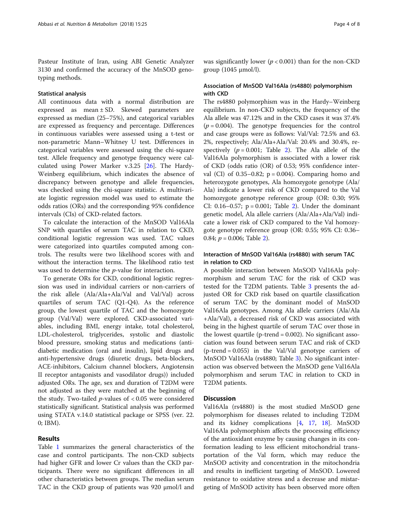Pasteur Institute of Iran, using ABI Genetic Analyzer 3130 and confirmed the accuracy of the MnSOD genotyping methods.

# Statistical analysis

All continuous data with a normal distribution are expressed as mean ± SD. Skewed parameters are expressed as median (25–75%), and categorical variables are expressed as frequency and percentage. Differences in continuous variables were assessed using a t-test or non-parametric Mann–Whitney U test. Differences in categorical variables were assessed using the chi-square test. Allele frequency and genotype frequency were calculated using Power Marker v.3.25 [\[26\]](#page-7-0). The Hardy-Weinberg equilibrium, which indicates the absence of discrepancy between genotype and allele frequencies, was checked using the chi-square statistic. A multivariate logistic regression model was used to estimate the odds ratios (ORs) and the corresponding 95% confidence intervals (CIs) of CKD-related factors.

To calculate the interaction of the MnSOD Val16Ala SNP with quartiles of serum TAC in relation to CKD, conditional logistic regression was used. TAC values were categorized into quartiles computed among controls. The results were two likelihood scores with and without the interaction terms. The likelihood ratio test was used to determine the p-value for interaction.

To generate ORs for CKD, conditional logistic regression was used in individual carriers or non-carriers of the risk allele (Ala/Ala+Ala/Val and Val/Val) across quartiles of serum TAC (Q1-Q4). As the reference group, the lowest quartile of TAC and the homozygote group (Val/Val) were explored. CKD-associated variables, including BMI, energy intake, total cholesterol, LDL-cholesterol, triglycerides, systolic and diastolic blood pressure, smoking status and medications (antidiabetic medication (oral and insulin), lipid drugs and anti-hypertensive drugs (diuretic drugs, beta-blockers, ACE-inhibitors, Calcium channel blockers, Angiotensin II receptor antagonists and vasodilator drugs)) included adjusted ORs. The age, sex and duration of T2DM were not adjusted as they were matched at the beginning of the study. Two-tailed  $p$ -values of  $< 0.05$  were considered statistically significant. Statistical analysis was performed using STATA v.14.0 statistical package or SPSS (ver. 22. 0; IBM).

# Results

Table [1](#page-4-0) summarizes the general characteristics of the case and control participants. The non-CKD subjects had higher GFR and lower Cr values than the CKD participants. There were no significant differences in all other characteristics between groups. The median serum TAC in the CKD group of patients was 920 μmol/l and

was significantly lower ( $p < 0.001$ ) than for the non-CKD group (1045 μmol/l).

# Association of MnSOD Val16Ala (rs4880) polymorphism with CKD

The rs4880 polymorphism was in the Hardy–Weinberg equilibrium. In non-CKD subjects, the frequency of the Ala allele was 47.12% and in the CKD cases it was 37.4%  $(p = 0.004)$ . The genotype frequencies for the control and case groups were as follows: Val/Val: 72.5% and 63. 2%, respectively; Ala/Ala+Ala/Val: 20.4% and 30.4%, respectively  $(p = 0.001;$  Table [2](#page-4-0)). The Ala allele of the Val16Ala polymorphism is associated with a lower risk of CKD (odds ratio (OR) of 0.53; 95% confidence interval (CI) of  $0.35-0.82$ ;  $p = 0.004$ ). Comparing homo and heterozygote genotypes, Ala homozygote genotype (Ala/ Ala) indicate a lower risk of CKD compared to the Val homozygote genotype reference group (OR: 0.30; 95% CI:  $0.16 - 0.57$ ;  $p = 0.001$ ; Table [2\)](#page-4-0). Under the dominant genetic model, Ala allele carriers (Ala/Ala+Ala/Val) indicate a lower risk of CKD compared to the Val homozygote genotype reference group (OR: 0.55; 95% CI: 0.36– 0.84;  $p = 0.006$ ; Table [2](#page-4-0)).

# Interaction of MnSOD Val16Ala (rs4880) with serum TAC in relation to CKD

A possible interaction between MnSOD Val16Ala polymorphism and serum TAC for the risk of CKD was tested for the T2DM patients. Table [3](#page-5-0) presents the adjusted OR for CKD risk based on quartile classification of serum TAC by the dominant model of MnSOD Val16Ala genotypes. Among Ala allele carriers (Ala/Ala +Ala/Val), a decreased risk of CKD was associated with being in the highest quartile of serum TAC over those in the lowest quartile (p-trend = 0.002). No significant association was found between serum TAC and risk of CKD  $(p$ -trend = 0.055) in the Val/Val genotype carriers of MnSOD Val16Ala (rs4880; Table [3](#page-5-0)). No significant interaction was observed between the MnSOD gene Val16Ala polymorphism and serum TAC in relation to CKD in T2DM patients.

# **Discussion**

Val16Ala (rs4880) is the most studied MnSOD gene polymorphism for diseases related to including T2DM and its kidney complications [\[4,](#page-6-0) [17,](#page-6-0) [18](#page-6-0)]. MnSOD Val16Ala polymorphism affects the processing efficiency of the antioxidant enzyme by causing changes in its conformation leading to less efficient mitochondrial transportation of the Val form, which may reduce the MnSOD activity and concentration in the mitochondria and results in inefficient targeting of MnSOD. Lowered resistance to oxidative stress and a decrease and mistargeting of MnSOD activity has been observed more often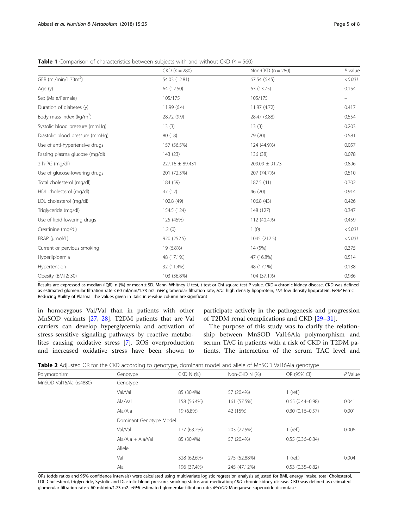|                                  | $CKD (n = 280)$ | Non-CKD $(n = 280)$ | $P$ value                |
|----------------------------------|-----------------|---------------------|--------------------------|
| GFR (ml/min/1.73m <sup>2</sup> ) | 54.03 (12.81)   | 67.54(6.45)         | < 0.001                  |
| Age (y)                          | 64 (12.50)      | 63 (13.75)          | 0.154                    |
| Sex (Male/Female)                | 105/175         | 105/175             | $\overline{\phantom{0}}$ |
| Duration of diabetes (y)         | 11.99 (6.4)     | 11.87 (4.72)        | 0.417                    |
| Body mass index ( $kg/m2$ )      | 28.72 (9.9)     | 28.47 (3.88)        | 0.554                    |
| Systolic blood pressure (mmHg)   | 13(3)           | 13(3)               | 0.203                    |
| Diastolic blood pressure (mmHg)  | 80 (18)         | 79 (20)             | 0.581                    |
| Use of anti-hypertensive drugs   | 157 (56.5%)     | 124 (44.9%)         | 0.057                    |
| Fasting plasma glucose (mg/dl)   | 143 (23)        | 136 (38)            | 0.078                    |
| 2 h-PG (mg/dl)                   | 227.16 ± 89.431 | $209.09 \pm 91.73$  | 0.896                    |
| Use of glucose-lowering drugs    | 201 (72.3%)     | 207 (74.7%)         | 0.510                    |
| Total cholesterol (mg/dl)        | 184 (59)        | 187.5 (41)          | 0.702                    |
| HDL cholesterol (mg/dl)          | 47 (12)         | 46 (20)             | 0.914                    |
| LDL cholesterol (mg/dl)          | 102.8 (49)      | 106.8(43)           | 0.426                    |
| Triglyceride (mg/dl)             | 154.5 (124)     | 148 (127)           | 0.347                    |
| Use of lipid-lowering drugs      | 125 (45%)       | 112 (40.4%)         | 0.459                    |
| Creatinine (mg/dl)               | 1.2(0)          | 1(0)                | < 0.001                  |
| FRAP (µmol/L)                    | 920 (252.5)     | 1045 (217.5)        | < 0.001                  |
| Current or pervious smoking      | 19 (6.8%)       | 14 (5%)             | 0.375                    |
| Hyperlipidemia                   | 48 (17.1%)      | 47 (16.8%)          | 0.514                    |
| Hypertension                     | 32 (11.4%)      | 48 (17.1%)          | 0.138                    |
| Obesity (BMI $\geq$ 30)          | 103 (36.8%)     | 104 (37.1%)         | 0.986                    |
|                                  |                 |                     |                          |

<span id="page-4-0"></span>**Table 1** Comparison of characteristics between subjects with and without CKD ( $n = 560$ )

Results are expressed as median (IQR), n (%) or mean ± SD. Mann-Whitney U test, t-test or Chi square test P value. CKD = chronic kidney disease. CKD was defined as estimated glomerular filtration rate < 60 ml/min/1.73 m2. GFR glomerular filtration rate, HDL high density lipoprotein, LDL low density lipoprotein, FRAP Ferric Reducing Ability of Plasma. The values given in italic in P-value column are significant

in homozygous Val/Val than in patients with other MnSOD variants [\[27](#page-7-0), [28\]](#page-7-0). T2DM patients that are Val carriers can develop hyperglycemia and activation of stress-sensitive signaling pathways by reactive metabolites causing oxidative stress [[7\]](#page-6-0). ROS overproduction and increased oxidative stress have been shown to

participate actively in the pathogenesis and progression of T2DM renal complications and CKD [[29](#page-7-0)–[31](#page-7-0)].

The purpose of this study was to clarify the relationship between MnSOD Val16Ala polymorphism and serum TAC in patients with a risk of CKD in T2DM patients. The interaction of the serum TAC level and

|  | Table 2 Adjusted OR for the CKD according to genotype, dominant model and allele of MnSOD Val16Ala genotype |  |  |  |
|--|-------------------------------------------------------------------------------------------------------------|--|--|--|
|--|-------------------------------------------------------------------------------------------------------------|--|--|--|

| Polymorphism            | Genotype                | CKD N (%)   | Non-CKD N (%) | OR (95% CI)         | P Value |  |  |
|-------------------------|-------------------------|-------------|---------------|---------------------|---------|--|--|
| MnSOD Val16Ala (rs4880) | Genotype                |             |               |                     |         |  |  |
|                         | Val/Val                 | 85 (30.4%)  | 57 (20.4%)    | $1$ (ref.)          |         |  |  |
|                         | Ala/Val                 | 158 (56.4%) | 161 (57.5%)   | $0.65(0.44 - 0.98)$ | 0.041   |  |  |
|                         | Ala/Ala                 | 19 (6.8%)   | 42 (15%)      | $0.30(0.16 - 0.57)$ | 0.001   |  |  |
|                         | Dominant Genotype Model |             |               |                     |         |  |  |
|                         | Val/Val                 | 177 (63.2%) | 203 (72.5%)   | $1$ (ref.)          | 0.006   |  |  |
|                         | $Ala/Ala + Ala/Val$     | 85 (30.4%)  | 57 (20.4%)    | $0.55(0.36 - 0.84)$ |         |  |  |
|                         | Allele                  |             |               |                     |         |  |  |
|                         | Val                     | 328 (62.6%) | 275 (52.88%)  | $1$ (ref.)          | 0.004   |  |  |
|                         | Ala                     | 196 (37.4%) | 245 (47.12%)  | $0.53(0.35 - 0.82)$ |         |  |  |

ORs (odds ratios and 95% confidence intervals) were calculated using multivariate logistic regression analysis adjusted for BMI, energy intake, total Cholesterol, LDL-Cholesterol, triglyceride, Systolic and Diastolic blood pressure, smoking status and medication; CKD chronic kidney disease. CKD was defined as estimated glomerular filtration rate < 60 ml/min/1.73 m2. eGFR estimated glomerular filtration rate, MnSOD Manganese superoxide dismutase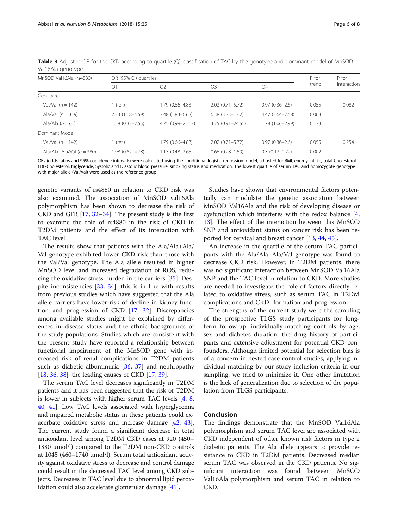| MnSOD Val16Ala (rs4880)     |                     | OR (95% CI) quartiles |                      |                     | P for | P for       |
|-----------------------------|---------------------|-----------------------|----------------------|---------------------|-------|-------------|
|                             | Q1                  | Q <sub>2</sub>        | Q <sub>3</sub>       | Q4                  | trend | interaction |
| Genotype                    |                     |                       |                      |                     |       |             |
| Val/Val $(n = 142)$         | 1 (ref.)            | 1.79 (0.66-4.83)      | $2.02(0.71 - 5.72)$  | $0.97(0.36 - 2.6)$  | 0.055 | 0.082       |
| Ala/Val $(n = 319)$         | $2.33(1.18 - 4.59)$ | $3.48(1.83 - 6.63)$   | $6.38(3.33 - 13.2)$  | $4.47(2.64 - 7.58)$ | 0.063 |             |
| Ala/Ala $(n = 61)$          | 1.58 (0.33–7.55)    | 4.75 (0.99 - 22.67)   | $4.75(0.91 - 24.55)$ | 1.78 (1.06-2.99)    | 0.133 |             |
| Dominant Model              |                     |                       |                      |                     |       |             |
| Val/Val $(n = 142)$         | 1 (ref.)            | 1.79 (0.66-4.83)      | $2.02(0.71 - 5.72)$  | $0.97(0.36 - 2.6)$  | 0.055 | 0.254       |
| Ala/Ala+Ala/Val $(n = 380)$ | 1.98 (0.82-4.78)    | $1.13(0.48 - 2.65)$   | $0.66(0.28 - 1.59)$  | $0.3(0.12 - 0.72)$  | 0.002 |             |

<span id="page-5-0"></span>Table 3 Adjusted OR for the CKD according to quartile (Q) classification of TAC by the genotype and dominant model of MnSOD Val16Ala genotype

ORs (odds ratios and 95% confidence intervals) were calculated using the conditional logistic regression model, adjusted for BMI, energy intake, total Cholesterol, LDL-Cholesterol, triglyceride, Systolic and Diastolic blood pressure, smoking status and medication. The lowest quartile of serum TAC and homozygote genotype with major allele (Val/Val) were used as the reference group

genetic variants of rs4880 in relation to CKD risk was also examined. The association of MnSOD val16Ala polymorphism has been shown to decrease the risk of CKD and GFR [[17,](#page-6-0) [32](#page-7-0)–[34](#page-7-0)]. The present study is the first to examine the role of rs4880 in the risk of CKD in T2DM patients and the effect of its interaction with TAC level.

The results show that patients with the Ala/Ala+Ala/ Val genotype exhibited lower CKD risk than those with the Val/Val genotype. The Ala allele resulted in higher MnSOD level and increased degradation of ROS, reducing the oxidative stress burden in the carriers [\[35](#page-7-0)]. Despite inconsistencies [[33,](#page-7-0) [34\]](#page-7-0), this is in line with results from previous studies which have suggested that the Ala allele carriers have lower risk of decline in kidney function and progression of CKD [[17,](#page-6-0) [32](#page-7-0)]. Discrepancies among available studies might be explained by differences in disease status and the ethnic backgrounds of the study populations. Studies which are consistent with the present study have reported a relationship between functional impairment of the MnSOD gene with increased risk of renal complications in T2DM patients such as diabetic albuminuria [[36,](#page-7-0) [37\]](#page-7-0) and nephropathy [[18,](#page-6-0) [36,](#page-7-0) [38](#page-7-0)], the leading causes of CKD [\[17,](#page-6-0) [39\]](#page-7-0).

The serum TAC level decreases significantly in T2DM patients and it has been suggested that the risk of T2DM is lower in subjects with higher serum TAC levels [[4,](#page-6-0) [8](#page-6-0), [40](#page-7-0), [41\]](#page-7-0). Low TAC levels associated with hyperglycemia and impaired metabolic status in these patients could exacerbate oxidative stress and increase damage [\[42,](#page-7-0) [43](#page-7-0)]. The current study found a significant decrease in total antioxidant level among T2DM CKD cases at 920 (450– 1880 μmol/l) compared to the T2DM non-CKD controls at 1045 (460–1740 μmol/l). Serum total antioxidant activity against oxidative stress to decrease and control damage could result in the decreased TAC level among CKD subjects. Decreases in TAC level due to abnormal lipid peroxidation could also accelerate glomerular damage [[41](#page-7-0)].

Studies have shown that environmental factors potentially can modulate the genetic association between MnSOD Val16Ala and the risk of developing disease or dysfunction which interferes with the redox balance [\[4](#page-6-0), [13\]](#page-6-0). The effect of the interaction between this MnSOD SNP and antioxidant status on cancer risk has been reported for cervical and breast cancer [[13](#page-6-0), [44](#page-7-0), [45](#page-7-0)].

An increase in the quartile of the serum TAC participants with the Ala/Ala+Ala/Val genotype was found to decrease CKD risk. However, in T2DM patients, there was no significant interaction between MnSOD Val16Ala SNP and the TAC level in relation to CKD. More studies are needed to investigate the role of factors directly related to oxidative stress, such as serum TAC in T2DM complications and CKD- formation and progression.

The strengths of the current study were the sampling of the prospective TLGS study participants for longterm follow-up, individually-matching controls by age, sex and diabetes duration, the drug history of participants and extensive adjustment for potential CKD confounders. Although limited potential for selection bias is of a concern in nested case control studies, applying individual matching by our study inclusion criteria in our sampling, we tried to minimize it. One other limitation is the lack of generalization due to selection of the population from TLGS participants.

# Conclusion

The findings demonstrate that the MnSOD Val16Ala polymorphism and serum TAC level are associated with CKD independent of other known risk factors in type 2 diabetic patients. The Ala allele appears to provide resistance to CKD in T2DM patients. Decreased median serum TAC was observed in the CKD patients. No significant interaction was found between MnSOD Val16Ala polymorphism and serum TAC in relation to CKD.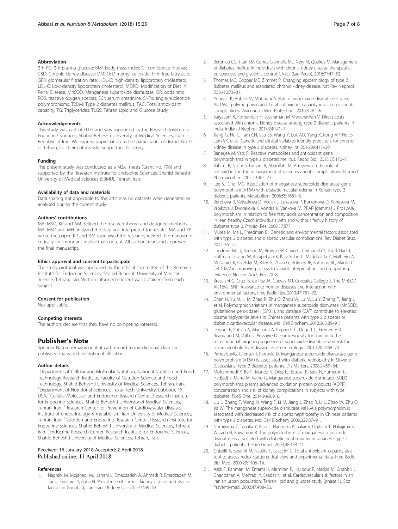## <span id="page-6-0"></span>Abbreviation

2 h-PG: 2-h plasma glucose; BMI: body mass index; CI: confidence interval; CKD: Chronic kidney disease; DMSO: Dimethyl sulfoxide; FFA: free fatty acid; GFR: glomerular filtration rate; HDL-C: high-density lipoprotein cholesterol; LDL-C: Low-density lipoprotein cholesterol; MDRD: Modification of Diet in Renal Disease; MnSOD: Manganese superoxide dismutase; OR: odds ratio; ROS: reactive oxygen species; SCr: serum creatinine; SNPs: single-nucleotide polymorphisms; T2DM: Type 2 diabetes mellitus; TAC: Total antioxidant capacity; TG: Triglycerides; TLGS: Tehran Lipid and Glucose Study

## Acknowledgements

This study was part of TLGS and was supported by the Research Institute of Endocrine Sciences, Shahid-Beheshti University of Medical Sciences, Islamic Republic of Iran. We express appreciation to the participants of district No.13 of Tehran, for their enthusiastic support in this study.

#### Funding

The present study was conducted as a M.Sc. thesis (Grant No. 796) and supported by the Research Institute for Endocrine Sciences, Shahid Beheshti University of Medical Sciences (SBMU), Tehran, Iran.

## Availability of data and materials

Data sharing not applicable to this article as no datasets were generated or analysed during the current study.

## Authors' contributions

MA, MSD, KP and AM defined the research theme and designed methods. MA, MSD and MH analyzed the data and interpreted the results. MA and KP wrote the paper. KP and AM supervised the research, revised the manuscript critically for important intellectual content. All authors read and approved the final manuscript.

## Ethics approval and consent to participate

The study protocol was approved by the ethical committee of the Research Institute for Endocrine Sciences, Shahid Beheshti University of Medical Science, Tehran, Iran. Written informed consent was obtained from each subject.

## Consent for publication

Not applicable.

#### Competing interests

The authors declare that they have no competing interests.

## Publisher's Note

Springer Nature remains neutral with regard to jurisdictional claims in published maps and institutional affiliations.

#### Author details

<sup>1</sup>Department of Cellular and Molecular Nutrition, National Nutrition and Food Technology Research Institute, Faculty of Nutrition Science and Food Technology, Shahid Beheshti University of Medical Sciences, Tehran, Iran. 2 Department of Nutritional Sciences, Texas Tech University, Lubbock, TX, USA. <sup>3</sup>Cellular Molecular and Endocrine Research Center, Research Institute for Endocrine Sciences, Shahid Beheshti University of Medical Sciences, Tehran, Iran. <sup>4</sup>Research Center for Prevention of Cardiovascular diseases, Institute of endocrinology & metabolism, Iran University of Medical Sciences, Tehran, Iran. <sup>5</sup>Nutrition and Endocrine Research Center, Research Institute for Endocrine Sciences, Shahid Beheshti University of Medical Sciences, Tehran, Iran. <sup>6</sup>Endocrine Research Center, Research Institute for Endocrine Sciences, Shahid Beheshti University of Medical Sciences, Tehran, Iran.

# Received: 16 January 2018 Accepted: 2 April 2018 Published online: 11 April 2018

#### References

1. Naghibi M, Mojahedi MJ, Jarrahi L, Emadzadeh A, Ahmadi R, Emadzadeh M, Taraz Jamshidi S, Bahri N. Prevalence of chronic kidney disease and its risk factors in Gonabad, Iran. Iran J Kidney Dis. 2015;9:449–53.

- 2. Betonico CC, Titan SM, Correa-Giannella ML, Nery M, Queiroz M. Management of diabetes mellitus in individuals with chronic kidney disease: therapeutic perspectives and glycemic control. Clinics (Sao Paulo). 2016;71:47–53.
- 3. Thomas MC, Cooper ME, Zimmet P. Changing epidemiology of type 2 diabetes mellitus and associated chronic kidney disease. Nat Rev Nephrol. 2016;12:73–81.
- Pourvali K, Abbasi M, Mottaghi A. Role of superoxide dismutase 2 gene Ala16Val polymorphism and Total antioxidant capacity in diabetes and its complications. Avicenna J Med Biotechnol. 2016;8:48–56.
- 5. Satyavani K, Kothandan H, Jayaraman M, Viswanathan V. Direct costs associated with chronic kidney disease among type 2 diabetic patients in India. Indian J Nephrol. 2014;24:141–7.
- 6. Jiang G, Hu C, Tam CH, Lau ES, Wang Y, Luk AO, Yang X, Kong AP, Ho JS, Lam VK, et al. Genetic and clinical variables identify predictors for chronic kidney disease in type 2 diabetes. Kidney Int. 2016;89:411–20.
- 7. Banerjee M, Vats P. Reactive metabolites and antioxidant gene polymorphisms in type 2 diabetes mellitus. Redox Biol. 2013;2C:170–7.
- 8. Rahimi R, Nikfar S, Larijani B, Abdollahi M. A review on the role of antioxidants in the management of diabetes and its complications. Biomed Pharmacother. 2005;59:365–73.
- 9. Lee SJ, Choi MG. Association of manganese superoxide dismutase gene polymorphism (V16A) with diabetic macular edema in Korean type 2 diabetic patients. Metabolism. 2006;55:1681–8.
- 10. Bendlova B, Vejrazkova D, Vcelak J, Lukasova P, Burkonova D, Kunesova M, Vrbikova J, Dvorakova K, Vondra K, Vankova M. PPAR [gamma] 2 Pro12Ala polymorphism in relation to free fatty acids concentration and composition in lean healthy Czech individuals with and without family history of diabetes type 2. Physiol Res. 2008;57:S77.
- 11. Murea M, Ma L, Freedman BI. Genetic and environmental factors associated with type 2 diabetes and diabetic vascular complications. Rev Diabet Stud. 2012;9:6–22.
- 12. Landrum MJLJ, Benson M, Brown GR, Chao C, Chitipiralla S, Gu B, Hart J, Hoffman D, Jang W, Karapetyan K, Katz K, Liu C, Maddipatla Z, Malheiro A, McDaniel K, Ovetsky M, Riley G, Zhou G, Holmes JB, Kattman BL, Maglott DR. ClinVar: improving access to variant interpretations and supporting evidence. Nucleic Acids Res. 2018;
- 13. Bresciani G, Cruz IB, de Paz JA, Cuevas MJ, Gonzalez-Gallego J. The MnSOD Ala16Val SNP: relevance to human diseases and interaction with environmental factors. Free Radic Res. 2013;47:781–92.
- 14. Chen H, Yu M, Li M, Zhao R, Zhu Q, Zhou W, Lu M, Lu Y, Zheng T, Jiang J, et al. Polymorphic variations in manganese superoxide dismutase (MnSOD), glutathione peroxidase-1 (GPX1), and catalase (CAT) contribute to elevated plasma triglyceride levels in Chinese patients with type 2 diabetes or diabetic cardiovascular disease. Mol Cell Biochem. 2012;363:85–91.
- 15. Degoul F, Sutton A, Mansouri A, Cepanec C, Degott C, Fromenty B, Beaugrand M, Valla D, Pessayre D. Homozygosity for alanine in the mitochondrial targeting sequence of superoxide dismutase and risk for severe alcoholic liver disease. Gastroenterology. 2001;120:1468–74.
- 16. Petrovic MG, Cilensek I, Petrovic D. Manganese superoxide dismutase gene polymorphism (V16A) is associated with diabetic retinopathy in Slovene (Caucasians) type 2 diabetes patients. Dis Markers. 2008;24:59–64.
- 17. Mohammedi K, Bellili-Munoz N, Driss F, Roussel R, Seta N, Fumeron F, Hadjadj S, Marre M, Velho G. Manganese superoxide dismutase (SOD2) polymorphisms, plasma advanced oxidation protein products (AOPP) concentration and risk of kidney complications in subjects with type 1 diabetes. PLoS One. 2014;9:e96916.
- 18. Liu L, Zheng T, Wang N, Wang F, Li M, Jiang J, Zhao R, Li L, Zhao W, Zhu Q, Jia W. The manganese superoxide dismutase Val16Ala polymorphism is associated with decreased risk of diabetic nephropathy in Chinese patients with type 2 diabetes. Mol Cell Biochem. 2009;322:87–91.
- 19. Nomiyama T, Tanaka Y, Piao L, Nagasaka K, Sakai K, Ogihara T, Nakajima K, Watada H, Kawamori R. The polymorphism of manganese superoxide dismutase is associated with diabetic nephropathy in Japanese type 2 diabetic patients. J Hum Genet. 2003;48:138–41.
- 20. Ghiselli A, Serafini M, Natella F, Scaccini C. Total antioxidant capacity as a tool to assess redox status: critical view and experimental data. Free Radic Biol Med. 2000;29:1106–14.
- 21. Azizi F, Rahmani M, Emami H, Mirmiran P, Hajipour R, Madjid M, Ghanbili J, Ghanbarian A, Mehrabi Y, Saadat N, et al. Cardiovascular risk factors in an Iranian urban population: Tehran lipid and glucose study (phase 1). Soz Praventivmed. 2002;47:408–26.